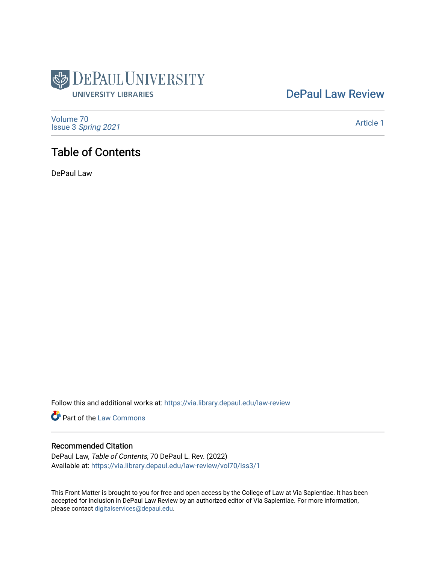

# [DePaul Law Review](https://via.library.depaul.edu/law-review)

[Volume 70](https://via.library.depaul.edu/law-review/vol70) Issue 3 [Spring 2021](https://via.library.depaul.edu/law-review/vol70/iss3) 

[Article 1](https://via.library.depaul.edu/law-review/vol70/iss3/1) 

# Table of Contents

DePaul Law

Follow this and additional works at: [https://via.library.depaul.edu/law-review](https://via.library.depaul.edu/law-review?utm_source=via.library.depaul.edu%2Flaw-review%2Fvol70%2Fiss3%2F1&utm_medium=PDF&utm_campaign=PDFCoverPages) 

Part of the [Law Commons](http://network.bepress.com/hgg/discipline/578?utm_source=via.library.depaul.edu%2Flaw-review%2Fvol70%2Fiss3%2F1&utm_medium=PDF&utm_campaign=PDFCoverPages)

## Recommended Citation

DePaul Law, Table of Contents, 70 DePaul L. Rev. (2022) Available at: [https://via.library.depaul.edu/law-review/vol70/iss3/1](https://via.library.depaul.edu/law-review/vol70/iss3/1?utm_source=via.library.depaul.edu%2Flaw-review%2Fvol70%2Fiss3%2F1&utm_medium=PDF&utm_campaign=PDFCoverPages) 

This Front Matter is brought to you for free and open access by the College of Law at Via Sapientiae. It has been accepted for inclusion in DePaul Law Review by an authorized editor of Via Sapientiae. For more information, please contact [digitalservices@depaul.edu.](mailto:digitalservices@depaul.edu)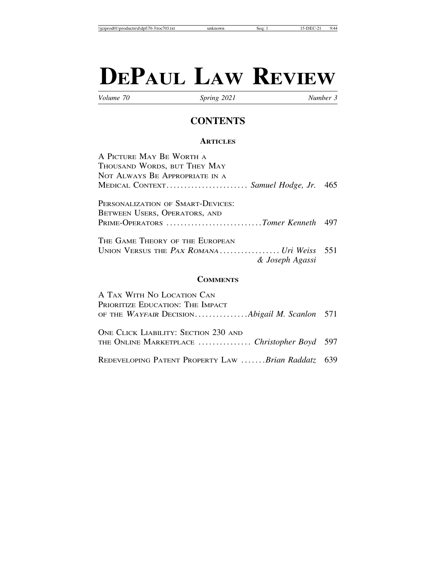# **DEPAUL LAW REVIEW**

*Volume 70 Spring 2021 Number 3*

## **CONTENTS**

### **ARTICLES**

| A PICTURE MAY BE WORTH A                  |  |
|-------------------------------------------|--|
| THOUSAND WORDS, BUT THEY MAY              |  |
| NOT ALWAYS BE APPROPRIATE IN A            |  |
| MEDICAL CONTEXT Samuel Hodge, Jr. 465     |  |
| PERSONALIZATION OF SMART-DEVICES:         |  |
| BETWEEN USERS, OPERATORS, AND             |  |
| PRIME-OPERATORS Tomer Kenneth 497         |  |
| The Game Theory of the European           |  |
| UNION VERSUS THE PAX ROMANA Uri Weiss 551 |  |
| & Joseph Agassi                           |  |
|                                           |  |

## **COMMENTS**

| A TAX WITH NO LOCATION CAN                                                           |  |
|--------------------------------------------------------------------------------------|--|
| PRIORITIZE EDUCATION: THE IMPACT                                                     |  |
| OF THE WAYFAIR DECISIONAbigail M. Scanlon 571                                        |  |
| ONE CLICK LIABILITY: SECTION 230 AND<br>THE ONLINE MARKETPLACE  Christopher Boyd 597 |  |
| REDEVELOPING PATENT PROPERTY LAW Brian Raddatz 639                                   |  |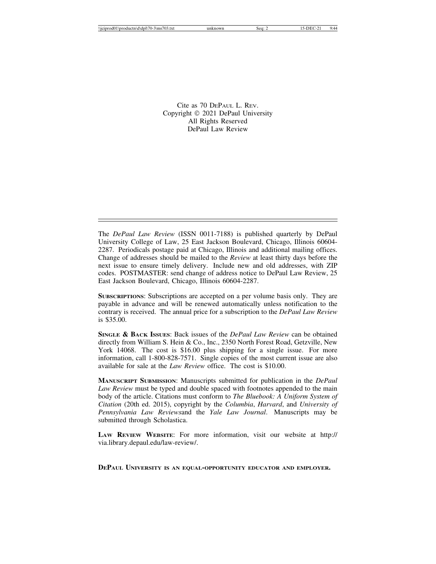Cite as 70 DEPAUL L. REV. Copyright © 2021 DePaul University All Rights Reserved DePaul Law Review

The *DePaul Law Review* (ISSN 0011-7188) is published quarterly by DePaul University College of Law, 25 East Jackson Boulevard, Chicago, Illinois 60604- 2287. Periodicals postage paid at Chicago, Illinois and additional mailing offices. Change of addresses should be mailed to the *Review* at least thirty days before the next issue to ensure timely delivery. Include new and old addresses, with ZIP codes. POSTMASTER: send change of address notice to DePaul Law Review, 25 East Jackson Boulevard, Chicago, Illinois 60604-2287.

**SUBSCRIPTIONS**: Subscriptions are accepted on a per volume basis only. They are payable in advance and will be renewed automatically unless notification to the contrary is received. The annual price for a subscription to the *DePaul Law Review* is \$35.00.

**SINGLE & BACK ISSUES**: Back issues of the *DePaul Law Review* can be obtained directly from William S. Hein & Co., Inc., 2350 North Forest Road, Getzville, New York 14068. The cost is \$16.00 plus shipping for a single issue. For more information, call 1-800-828-7571. Single copies of the most current issue are also available for sale at the *Law Review* office. The cost is \$10.00.

**MANUSCRIPT SUBMISSION**: Manuscripts submitted for publication in the *DePaul Law Review* must be typed and double spaced with footnotes appended to the main body of the article. Citations must conform to *The Bluebook: A Uniform System of Citation* (20th ed. 2015), copyright by the *Columbia*, *Harvard*, and *University of Pennsylvania Law Reviews*and the *Yale Law Journal*. Manuscripts may be submitted through Scholastica.

**LAW REVIEW WEBSITE**: For more information, visit our website at http:// via.library.depaul.edu/law-review/.

**DEPAUL UNIVERSITY IS AN EQUAL-OPPORTUNITY EDUCATOR AND EMPLOYER.**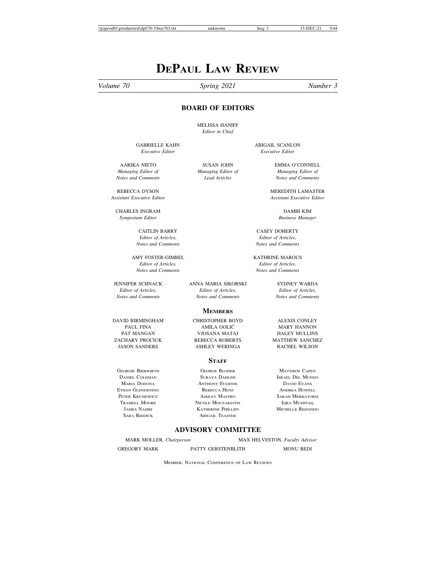# **DEPAUL LAW REVIEW**

#### *Volume 70 Spring 2021 Number 3*

#### **BOARD OF EDITORS**

MELISSA HANIFF *Editor in Chief*

CHARLES INGRAM DAMBI KIM *Symposium Editor Business Manager*

*Editor of Articles, Editor of Articles,*

AMY FOSTER-GIMBEL KATHRINE MAROUS *Editor of Articles, Editor of Articles, Notes and Comments Notes and Comments*

JENNIFER SCHNACK ANNA MARIA SIKORSKI SYDNEY WARDA *Editor of Articles, Editor of Articles, Editor of Articles, Notes and Comments Notes and Comments Notes and Comments*

PAT MANGAN VJOSANA MATAJ HALEY MULLINS

ETHAN GLENDENING REBECCA HENZ ANDREA HOWELL

GABRIELLE KAHN ABIGAIL SCANLON *Executive Editor Executive Editor*

AARIKA NIETO SUSAN JOHN EMMA O'CONNELL *Managing Editor of Managing Editor of Managing Editor of Notes and Comments Lead Articles Notes and Comments*

REBECCA DYSON MEREDITH LAMASTER<br>Assistant Executive Editor Assistant Executive Editor *Assistant Executive Editor Assistant Executive Editor*

CAITLIN BARRY CASEY DOHERTY *Notes and Comments Notes and Comments*

**MEMBERS** DAVID BIRMINGHAM CHRISTOPHER BOYD ALEXIS CONLEY

ASHLEY WERINGA

#### **STAFF**

GEORGIE BIERWIRTH GEORGE BLODER MATTHEW CAPEN<br>Daniel Coleman Matthew Suraya Dahleh Matthew Israel Del Mund MARIA DODONA ANTHONY EUGENIS DAVID EVANS PETER KRUSIEWICZ ASHLEY MASTRO SARAH MERKATORIS NICOLE MOUZAKIOTIS JAMES NASIRI KATHERINE PHILLIPS MICHELLE REDONDO SARA RIDDICK ABIGAIL TEASTER

PAUL FINA AMILA GOLIC MARY HANNON ´ ZACHARY PROCIUK REBECCA ROBERTS MATTHEW SANCHEZ

ISRAEL DEL MUNDO

#### **ADVISORY COMMITTEE**

MARK MOLLER, *Chairperson* MAX HELVESTON, *Faculty Advisor*

GREGORY MARK PATTY GERSTENBLITH MONU BEDI

MEMBER, NATIONAL CONFERENCE OF LAW REVIEWS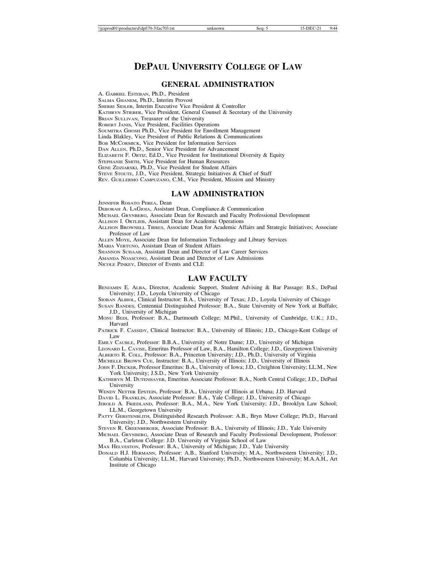## **DEPAUL UNIVERSITY COLLEGE OF LAW**

#### **GENERAL ADMINISTRATION**

A. GABRIEL ESTEBAN, Ph.D., President SALMA GHANEM, Ph.D., Interim Provost SHERRI SIDLER, Interim Executive Vice President & Controller KATHRYN STIEBER, Vice President, General Counsel & Secretary of the University BRIAN SULLIVAN, Treasurer of the University ROBERT JANIS, Vice President, Facilities Operations SOUMITRA GHOSH Ph.D., Vice President for Enrollment Management Linda Blakley, Vice President of Public Relations & Communications BOB MCCORMICK, Vice President for Information Services DAN ALLEN, Ph.D., Senior Vice President for Advancement ELIZABETH F. ORTIZ, Ed.D., Vice President for Institutional Diversity & Equity STEPHANIE SMITH, Vice President for Human Resources GENE ZDZIARSKI, Ph.D., Vice President for Student Affairs STEVE STOUTE, J.D., Vice President, Strategic Initiatives & Chief of Staff REV. GUILLERMO CAMPUZANO, C.M., Vice President, Mission and Ministry

#### **LAW ADMINISTRATION**

JENNIFER ROSATO PEREA, Dean

DEBORAH A. LAGIOIA, Assistant Dean, Compliance.& Communication

MICHAEL GRYNBERG, Associate Dean for Research and Faculty Professional Development

ALLISON I. ORTLIEB, Assistant Dean for Academic Operations

ALLISON BROWNELL TIRRES, Associate Dean for Academic Affairs and Strategic Initiatives; Associate Professor of Law

ALLEN MOYE, Associate Dean for Information Technology and Library Services

MARIA VERTUNO, Assistant Dean of Student Affairs

SHANNON SCHAAB, Assistant Dean and Director of Law Career Services

AMANDA NOASCONO, Assistant Dean and Director of Law Admissions

NICOLE PINKEY, Director of Events and CLE

#### **LAW FACULTY**

BENJAMIN E. ALBA, Director, Academic Support, Student Advising & Bar Passage: B.S., DePaul University; J.D., Loyola University of Chicago

SIOBAN ALBIOL, Clinical Instructor: B.A., University of Texas; J.D., Loyola University of Chicago

- SUSAN BANDES, Centennial Distinguished Professor: B.A., State University of New York at Buffalo; J.D., University of Michigan
- MONU BEDI, Professor: B.A., Dartmouth College; M.Phil., University of Cambridge, U.K.; J.D., Harvard
- PATRICK F. CASSIDY, Clinical Instructor: B.A., University of Illinois; J.D., Chicago-Kent College of Law

EMILY CAUBLE, Professor: B.B.A., University of Notre Dame; J.D., University of Michigan

LEONARD L. CAVISE, Emeritus Professor of Law, B.A., Hamilton College; J.D., Georgetown University ALBERTO R. COLL, Professor: B.A., Princeton University; J.D., Ph.D., University of Virginia

MICHELLE BROWN CUE, Instructor: B.A., University of Illinois; J.D., University of Illinois

- JOHN F. DECKER, Professor Emeritus: B.A., University of Iowa; J.D., Creighton University; LL.M., New York University; J.S.D., New York University
- KATHERYN M. DUTENHAVER, Emeritus Associate Professor: B.A., North Central College; J.D., DePaul University
- WENDY NETTER EPSTEIN, Professor: B.A., University of Illinois at Urbana; J.D. Harvard

DAVID L. FRANKLIN, Associate Professor: B.A., Yale College; J.D., University of Chicago

- JEROLD A. FRIEDLAND, Professor: B.A., M.A., New York University; J.D., Brooklyn Law School; LL.M., Georgetown University
- PATTY GERSTENBLITH, Distinguished Research Professor: A.B., Bryn Mawr College; Ph.D., Harvard University; J.D., Northwestern University

STEVEN R. GREENBERGER, Associate Professor: B.A., University of Illinois; J.D., Yale University

MICHAEL GRYNBERG, Associate Dean of Research and Faculty Professional Development, Professor: B.A., Carleton College: J.D. University of Virginia School of Law

MAX HELVESTON, Professor: B.A., University of Michigan; J.D., Yale University

DONALD H.J. HERMANN, Professor: A.B., Stanford University; M.A., Northwestern University; J.D., Columbia University; LL.M., Harvard University; Ph.D., Northwestern University; M.A.A.H., Art Institute of Chicago